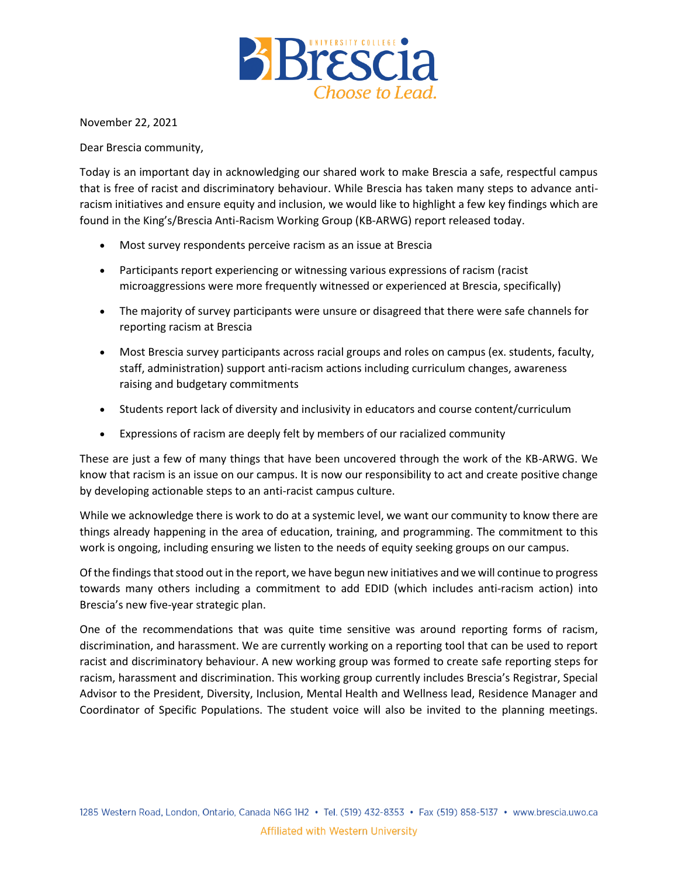

November 22, 2021

Dear Brescia community,

Today is an important day in acknowledging our shared work to make Brescia a safe, respectful campus that is free of racist and discriminatory behaviour. While Brescia has taken many steps to advance antiracism initiatives and ensure equity and inclusion, we would like to highlight a few key findings which are found in the King's/Brescia Anti-Racism Working Group (KB-ARWG) report released today.

- Most survey respondents perceive racism as an issue at Brescia
- Participants report experiencing or witnessing various expressions of racism (racist microaggressions were more frequently witnessed or experienced at Brescia, specifically)
- The majority of survey participants were unsure or disagreed that there were safe channels for reporting racism at Brescia
- Most Brescia survey participants across racial groups and roles on campus (ex. students, faculty, staff, administration) support anti-racism actions including curriculum changes, awareness raising and budgetary commitments
- Students report lack of diversity and inclusivity in educators and course content/curriculum
- Expressions of racism are deeply felt by members of our racialized community

These are just a few of many things that have been uncovered through the work of the KB-ARWG. We know that racism is an issue on our campus. It is now our responsibility to act and create positive change by developing actionable steps to an anti-racist campus culture.

While we acknowledge there is work to do at a systemic level, we want our community to know there are things already happening in the area of education, training, and programming. The commitment to this work is ongoing, including ensuring we listen to the needs of equity seeking groups on our campus.

Of the findings that stood out in the report, we have begun new initiatives and we will continue to progress towards many others including a commitment to add EDID (which includes anti-racism action) into Brescia's new five-year strategic plan.

One of the recommendations that was quite time sensitive was around reporting forms of racism, discrimination, and harassment. We are currently working on a reporting tool that can be used to report racist and discriminatory behaviour. A new working group was formed to create safe reporting steps for racism, harassment and discrimination. This working group currently includes Brescia's Registrar, Special Advisor to the President, Diversity, Inclusion, Mental Health and Wellness lead, Residence Manager and Coordinator of Specific Populations. The student voice will also be invited to the planning meetings.